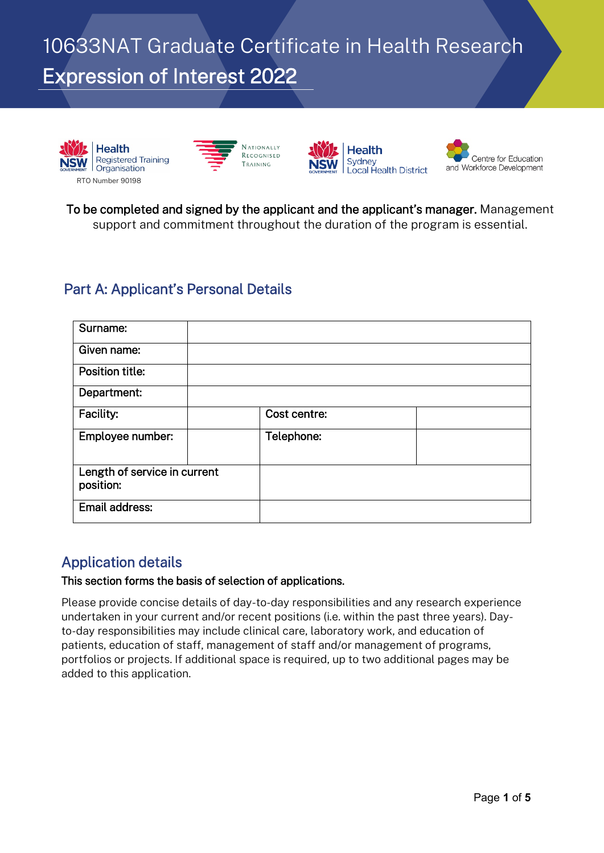10633NAT Graduate Certificate in Health Research Expression of Interest 2022









To be completed and signed by the applicant and the applicant's manager. Management support and commitment throughout the duration of the program is essential.

# Part A: Applicant's Personal Details

| Surname:                                  |              |  |
|-------------------------------------------|--------------|--|
| Given name:                               |              |  |
| Position title:                           |              |  |
| Department:                               |              |  |
| Facility:                                 | Cost centre: |  |
| Employee number:                          | Telephone:   |  |
| Length of service in current<br>position: |              |  |
| Email address:                            |              |  |

### Application details

#### This section forms the basis of selection of applications.

Please provide concise details of day-to-day responsibilities and any research experience undertaken in your current and/or recent positions (i.e. within the past three years). Dayto-day responsibilities may include clinical care, laboratory work, and education of patients, education of staff, management of staff and/or management of programs, portfolios or projects. If additional space is required, up to two additional pages may be added to this application.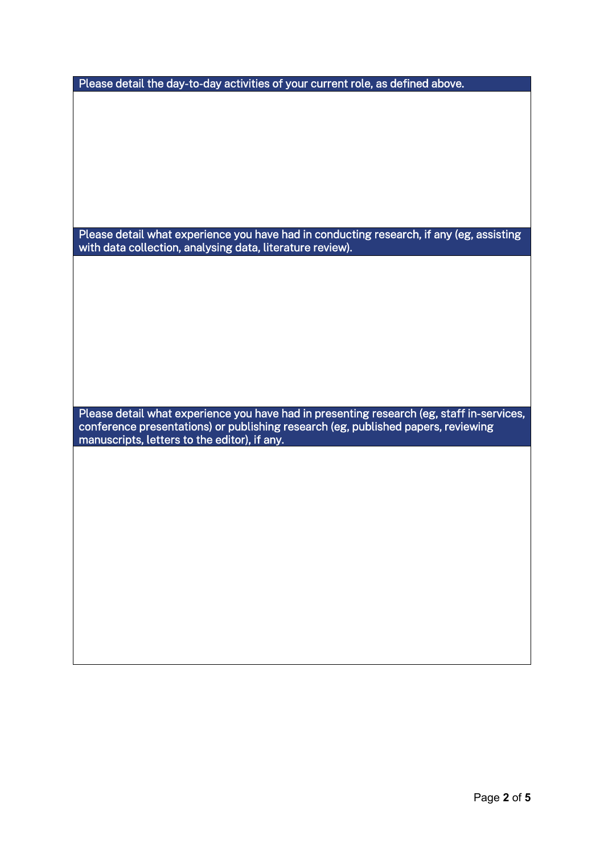Please detail what experience you have had in conducting research, if any (eg, assisting with data collection, analysing data, literature review).

Please detail what experience you have had in presenting research (eg, staff in-services, conference presentations) or publishing research (eg, published papers, reviewing manuscripts, letters to the editor), if any.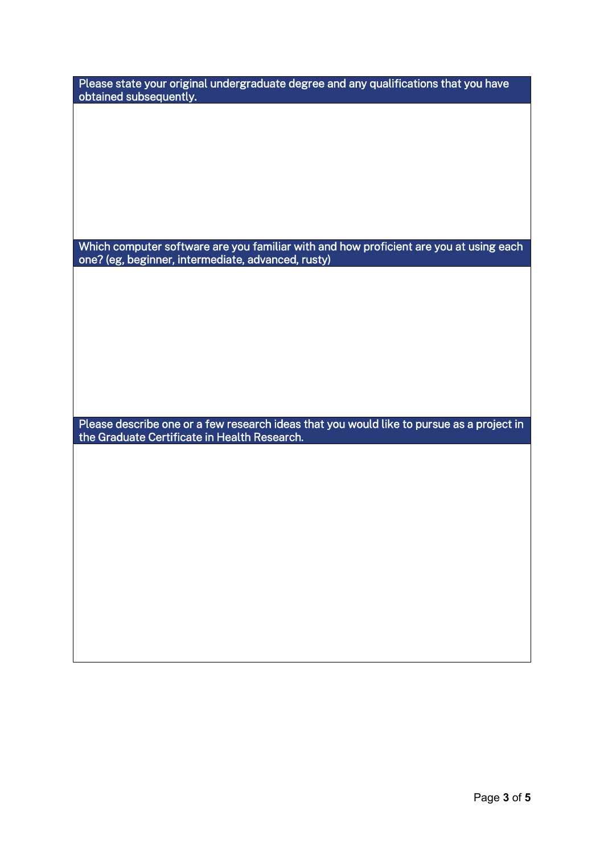| Please state your original undergraduate degree and any qualifications that you have<br>obtained subsequently.                               |
|----------------------------------------------------------------------------------------------------------------------------------------------|
|                                                                                                                                              |
|                                                                                                                                              |
|                                                                                                                                              |
|                                                                                                                                              |
|                                                                                                                                              |
| Which computer software are you familiar with and how proficient are you at using each<br>one? (eg, beginner, intermediate, advanced, rusty) |
|                                                                                                                                              |
|                                                                                                                                              |
|                                                                                                                                              |
|                                                                                                                                              |
|                                                                                                                                              |
| Please describe one or a few research ideas that you would like to pursue as a project in<br>the Graduate Certificate in Health Research.    |
|                                                                                                                                              |
|                                                                                                                                              |
|                                                                                                                                              |
|                                                                                                                                              |
|                                                                                                                                              |
|                                                                                                                                              |
|                                                                                                                                              |
|                                                                                                                                              |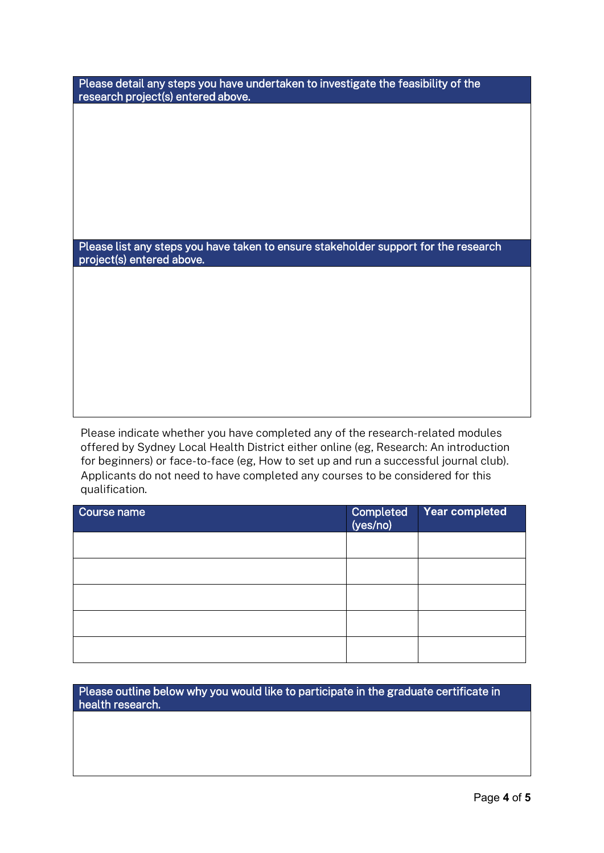Please detail any steps you have undertaken to investigate the feasibility of the research project(s) entered above.

Please list any steps you have taken to ensure stakeholder support for the research project(s) entered above.

Please indicate whether you have completed any of the research-related modules offered by Sydney Local Health District either online (eg, Research: An introduction for beginners) or face-to-face (eg, How to set up and run a successful journal club). Applicants do not need to have completed any courses to be considered for this qualification.

| Course name | Completed<br>(yes/no) | Year completed |
|-------------|-----------------------|----------------|
|             |                       |                |
|             |                       |                |
|             |                       |                |
|             |                       |                |
|             |                       |                |

Please outline below why you would like to participate in the graduate certificate in health research.